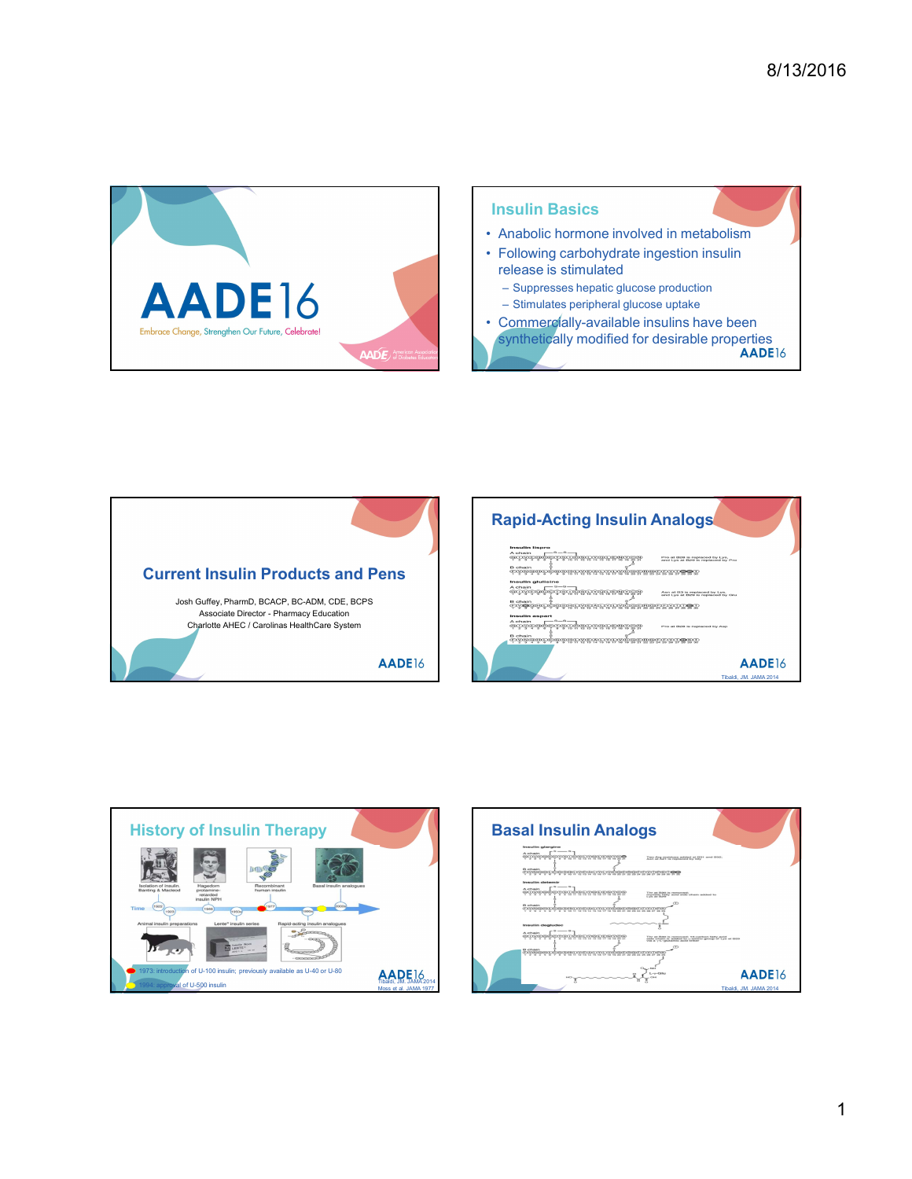

## Insulin Basics

- 
- <sup>8/13/2016</sup><br> **Example 18 Anabolic hormone involved in metabolism**<br>
 Following carbohydrate ingestion insulin<br>
release is stimulated<br>
 Suppresses hepatic glucose production<br>
 Stimulates peripheral glucose uptake<br>
 Comme release is stimulated
- 
- 
- <sup>8/13/2016</sup><br> **Example 13:**<br>
 Following carbohydrate ingestion insulin<br>
 Following carbohydrate ingestion insulin<br>
 Following carbohydrate ingestion insulin<br>
 Stepheral glucose production<br>
 Commercially-available insul <sup>9</sup>/13/2016<br>
Mabolic hormone involved in metabolism<br>
Following carbohydrate ingestion insuline<br>
Elexae is stimulated<br>
- Suppresses hepatic glucose production<br>
- Simulates peripheral glucose uptake<br>
Dommercally-available in <sup>2</sup>/13/2016<br>
Sulin Basics<br>
Anabolic hormone involved in metabolism<br>
Fellowing carbohydrate ingestion insulin<br>
Felexes is stimulated<br>
- Suppresses hepatic glucose production<br>
- Stimulates peripheral glucose uptake<br>
Commerca 8/13/2016<br>
Insulin Basics<br>
• Anabolic hormone involved in metabolism<br>
• Following carbohydrate ingestion insulin<br>
release is stimulated<br>
– Suppresses hepatic glucose production<br>
• Commercially-available insulins have been<br> synthetically modified for desirable properties<br>AADE16





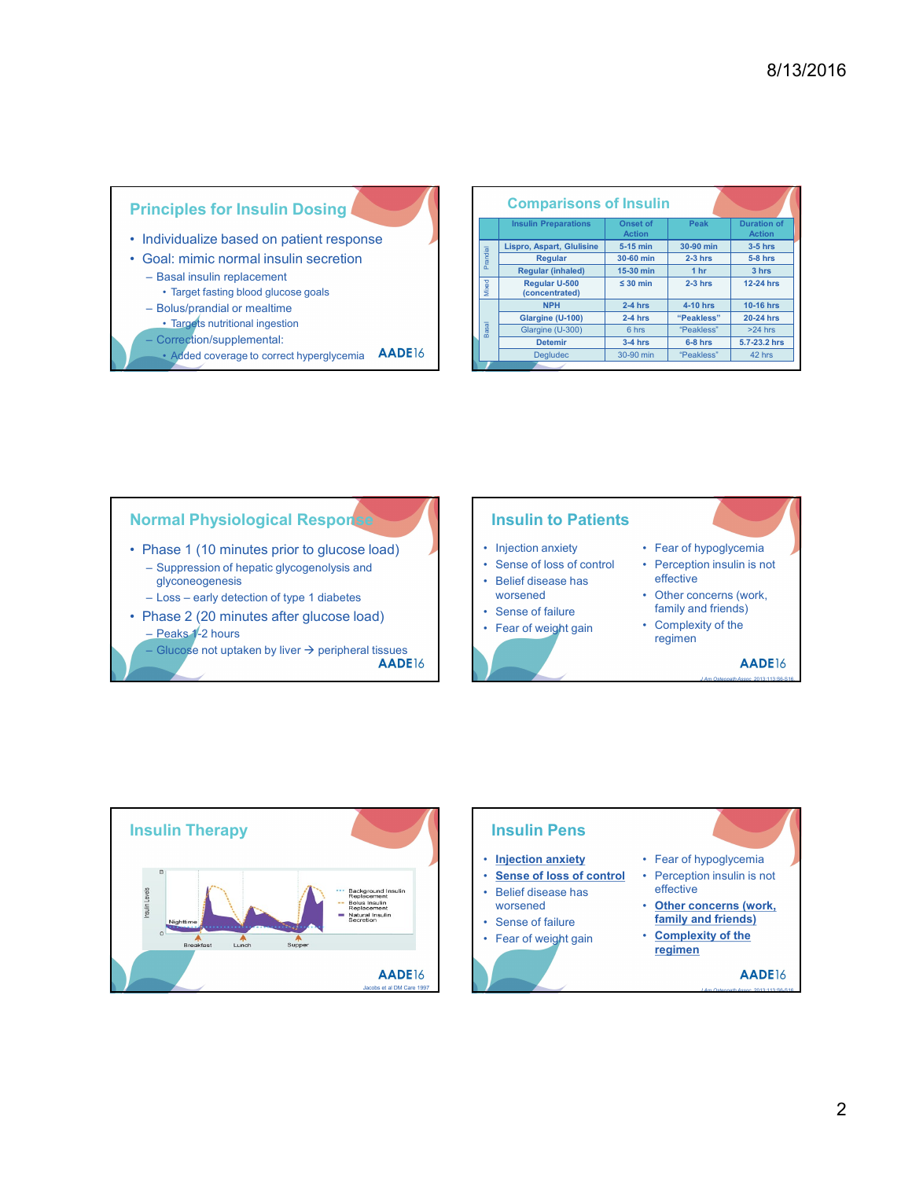## Principles for Insulin Dosing

- 
- -
	-
	-
	-
	-
	-

|                                                                                                                 |       |                                      |                        |                         | 8/13/2016              |
|-----------------------------------------------------------------------------------------------------------------|-------|--------------------------------------|------------------------|-------------------------|------------------------|
|                                                                                                                 |       |                                      |                        |                         |                        |
|                                                                                                                 |       |                                      |                        |                         |                        |
|                                                                                                                 |       |                                      |                        |                         |                        |
|                                                                                                                 |       |                                      |                        |                         |                        |
|                                                                                                                 |       |                                      |                        |                         |                        |
|                                                                                                                 |       |                                      |                        |                         |                        |
|                                                                                                                 |       |                                      |                        |                         |                        |
|                                                                                                                 |       |                                      |                        |                         |                        |
| <b>Principles for Insulin Dosing</b>                                                                            |       | <b>Comparisons of Insulin</b>        |                        |                         |                        |
|                                                                                                                 |       | <b>Insulin Preparations</b>          | Onset of<br>Action     | Peak                    | <b>Duration of</b>     |
|                                                                                                                 |       |                                      |                        |                         | Action                 |
|                                                                                                                 |       |                                      |                        |                         |                        |
|                                                                                                                 |       | Lispro, Aspart, Glulisine<br>Regular | 5-15 min<br>30-60 min  | 30-90 min<br>$2-3$ hrs  | $3-5$ hrs<br>$5-8$ hrs |
|                                                                                                                 | Pra   | <b>Regular (inhaled)</b>             | 15-30 min              | 1 <sub>hr</sub>         | 3 hrs                  |
| - Basal insulin replacement                                                                                     |       | Regular U-500                        | $\leq 30$ min          | $2-3$ hrs               | 12-24 hrs              |
| • Target fasting blood glucose goals                                                                            | Mixed | (concentrated)                       |                        |                         |                        |
| Individualize based on patient response<br>Goal: mimic normal insulin secretion<br>- Bolus/prandial or mealtime |       | <b>NPH</b>                           | $2-4$ hrs              | 4-10 hrs                | 10-16 hrs              |
| • Targets nutritional ingestion                                                                                 |       | Glargine (U-100)                     | $2-4$ hrs              | "Peakless"              | 20-24 hrs              |
|                                                                                                                 |       | Glargine (U-300)                     | 6 hrs                  | "Peakless"              | $>24$ hrs              |
| - Correction/supplemental:<br><b>AADE16</b><br>• Added coverage to correct hyperglycemia                        |       | Detemir<br>Degludec                  | $3-4$ hrs<br>30-90 min | $6-8$ hrs<br>"Peakless" | 5.7-23.2 hrs<br>42 hrs |





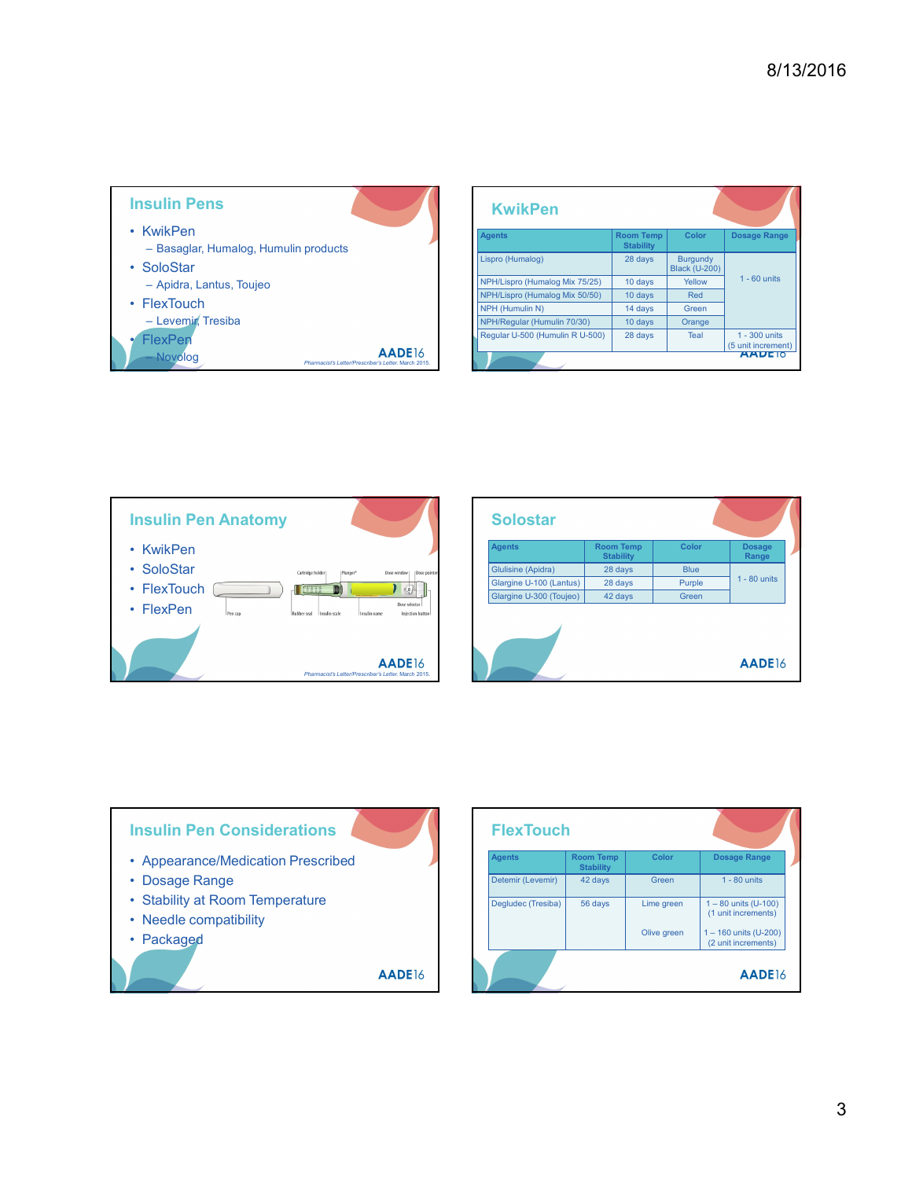

|                                                                  |                                      |                                  | 8/13/2016                           |
|------------------------------------------------------------------|--------------------------------------|----------------------------------|-------------------------------------|
|                                                                  |                                      |                                  |                                     |
| <b>KwikPen</b>                                                   |                                      |                                  |                                     |
| <b>Agents</b>                                                    | <b>Room Temp</b><br><b>Stability</b> | Color                            | Dosage Range                        |
| Lispro (Humalog)                                                 | 28 days                              | Burgundy<br><b>Black (U-200)</b> |                                     |
| NPH/Lispro (Humalog Mix 75/25)<br>NPH/Lispro (Humalog Mix 50/50) | 10 days<br>10 days                   | Yellow<br>Red                    | $1 - 60$ units                      |
| NPH (Humulin N)                                                  | 14 days                              | Green                            |                                     |
| NPH/Regular (Humulin 70/30)<br>Regular U-500 (Humulin R U-500)   | 10 days<br>28 days                   | Orange<br>Teal                   | 1 - 300 units                       |
|                                                                  |                                      |                                  | (5 unit increment)<br><b>AADETO</b> |



| <b>KwikPen</b>                   |                                          |                                  |                                               |
|----------------------------------|------------------------------------------|----------------------------------|-----------------------------------------------|
| <b>Agents</b>                    | <b>Room Temp</b><br><b>Stability</b>     | Color                            | Dosage Range                                  |
| Lispro (Humalog)                 | 28 days                                  | Burgundy<br><b>Black (U-200)</b> |                                               |
| NPH/Lispro (Humalog Mix 75/25)   | 10 days                                  | Yellow                           | $1 - 60$ units                                |
| NPH/Lispro (Humalog Mix 50/50)   | 10 days                                  | Red                              |                                               |
| NPH (Humulin N)                  | 14 days                                  | Green                            |                                               |
| NPH/Regular (Humulin 70/30)      | 10 days                                  | Orange                           |                                               |
| Regular U-500 (Humulin R U-500)  | 28 days                                  | Teal                             | 1 - 300 units<br>$(5 \text{ unit increment})$ |
|                                  |                                          |                                  |                                               |
| <b>Solostar</b><br><b>Agents</b> | <b>Room Temp</b>                         | Color                            | <b>Dosage</b>                                 |
|                                  | <b>Stability</b>                         |                                  | Range                                         |
| Glulisine (Apidra)               | 28 days                                  | <b>Blue</b>                      |                                               |
| Glargine U-100 (Lantus)          | 28 days                                  | Purple                           | $1 - 80$ units                                |
| Glargine U-300 (Toujeo)          | 42 days                                  | Green                            |                                               |
|                                  |                                          |                                  | AADE16                                        |
| <b>FlexTouch</b>                 |                                          |                                  |                                               |
| Agents<br>Detemir (Levemir)      | Room Temp<br><b>Stability</b><br>42 days | <b>Color</b>                     | Dosage Range<br>$1 - 80$ units                |
|                                  |                                          | Green                            |                                               |
| Degludec (Tresiba)               | 56 days                                  | Lime green                       | $1 - 80$ units (U-100)<br>(1 unit increments) |
|                                  |                                          | Olive green                      | 1 - 160 units (U-200)<br>(2 unit increments)  |
|                                  |                                          |                                  | <b>AADEIA</b>                                 |



| <b>Agents</b>           | <b>Room Temp</b><br><b>Stability</b> |             | Color  | <b>Dosage</b><br>Range                         |
|-------------------------|--------------------------------------|-------------|--------|------------------------------------------------|
| Glulisine (Apidra)      | 28 days                              |             | Blue   |                                                |
| Glargine U-100 (Lantus) | 28 days                              |             | Purple | $1 - 80$ units                                 |
| Glargine U-300 (Toujeo) | 42 days                              |             | Green  |                                                |
|                         |                                      |             |        | AADE16                                         |
|                         |                                      |             |        |                                                |
|                         |                                      |             |        |                                                |
|                         |                                      |             |        |                                                |
| <b>FlexTouch</b>        |                                      |             |        |                                                |
| <b>Agents</b>           | <b>Room Temp</b>                     | Color       |        | Dosage Range                                   |
| Detemir (Levemir)       | <b>Stability</b><br>42 days          | Green       |        | $1 - 80$ units                                 |
| Degludec (Tresiba)      | 56 days                              | Lime green  |        | $1 - 80$ units (U-100)<br>(1 unit increments)  |
|                         |                                      | Olive green |        | $1 - 160$ units (U-200)<br>(2 unit increments) |
|                         |                                      |             |        | AADE16                                         |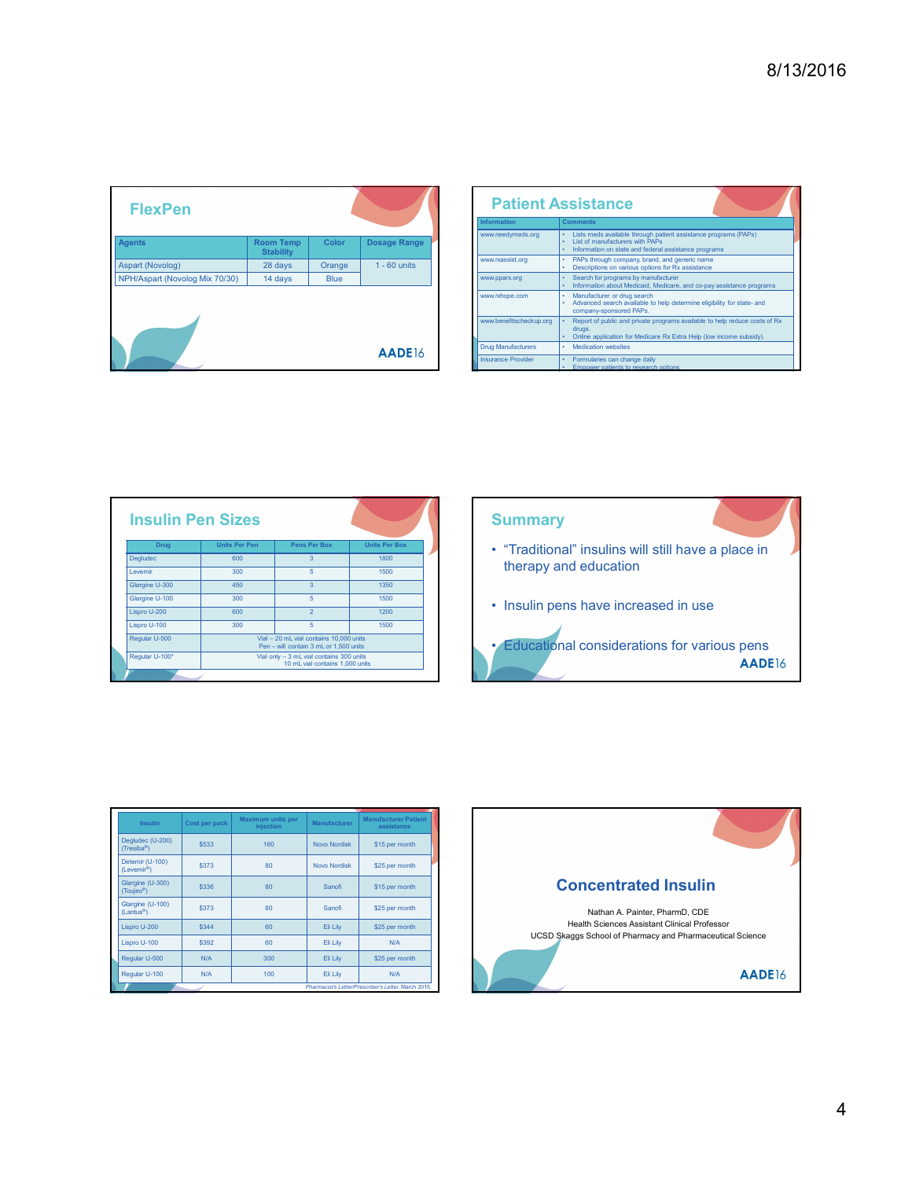|                                |                                      |             |                |                           |                                                                                                                                                                  | 8/13/2016 |
|--------------------------------|--------------------------------------|-------------|----------------|---------------------------|------------------------------------------------------------------------------------------------------------------------------------------------------------------|-----------|
|                                |                                      |             |                |                           |                                                                                                                                                                  |           |
|                                |                                      |             |                |                           |                                                                                                                                                                  |           |
|                                |                                      |             |                |                           |                                                                                                                                                                  |           |
|                                |                                      |             |                |                           |                                                                                                                                                                  |           |
|                                |                                      |             |                |                           |                                                                                                                                                                  |           |
| <b>FlexPen</b>                 |                                      |             |                |                           | <b>Patient Assistance</b>                                                                                                                                        |           |
|                                |                                      |             |                | Information               | <b>Comments</b>                                                                                                                                                  |           |
| <b>Agents</b>                  | <b>Room Temp</b><br><b>Stability</b> | Color       | Dosage Range   | www.needymeds.org         | • Lists meds available through patient assistance programs (PAPs)<br>• List of manufacturers with PAPs<br>• Information on state and federal assistance programs |           |
| Aspart (Novolog)               | 28 days                              | Orange      | $1 - 60$ units | www.rxassist.org          | $\bullet$<br>PAPs through company, brand, and generic name<br>$\mathcal{L}^{\mathcal{L}}$<br>Descriptions on various options for Rx assistance                   |           |
| NPH/Aspart (Novolog Mix 70/30) | 14 days                              | <b>Blue</b> |                | www.pparx.org             | Search for programs by manufacturer<br>$\bullet$<br>Information about Medicaid, Medicare, and co-pay assistance programs<br>$\bullet$                            |           |
|                                |                                      |             |                | www.rxhope.com            | $\bullet$<br>Manufacturer or drug search<br>$\epsilon$<br>Advanced search available to help determine eligibility for state- and<br>company-sponsored PAPs.      |           |
|                                |                                      |             |                | www.benefitscheckup.org   | Report of public and private programs available to help reduce costs of Rx<br>drugs.<br>Online application for Medicare Rx Extra Help (low income subsidy).      |           |
|                                |                                      |             | AADE16         | <b>Drug Manufacturers</b> | <b>Medication websites</b><br>٠                                                                                                                                  |           |
|                                |                                      |             |                | <b>Insurance Provider</b> | Formularies can change daily<br>$\bullet$ .<br>Empower patients to research options                                                                              |           |

|                                                                       |                                                                                                             | 8/13/2016                                                                                                                                                                                                                                                                                                                                                                                                                                                                                                                                                                                                                                                                     |
|-----------------------------------------------------------------------|-------------------------------------------------------------------------------------------------------------|-------------------------------------------------------------------------------------------------------------------------------------------------------------------------------------------------------------------------------------------------------------------------------------------------------------------------------------------------------------------------------------------------------------------------------------------------------------------------------------------------------------------------------------------------------------------------------------------------------------------------------------------------------------------------------|
|                                                                       |                                                                                                             |                                                                                                                                                                                                                                                                                                                                                                                                                                                                                                                                                                                                                                                                               |
| <b>FlexPen</b>                                                        |                                                                                                             | <b>Patient Assistance</b><br>nformation<br><b>Comments</b><br>www.needymeds.org                                                                                                                                                                                                                                                                                                                                                                                                                                                                                                                                                                                               |
| ents<br>(Novolog)                                                     | Color<br><b>Room Temp</b><br>Dosage Range<br><b>Stability</b><br>28 days<br>Orange<br>$1 - 60$ units        | • Lists meds available through patient assistance programs (PAPs)<br>• List of manufacturers with PAPs<br>• Information on state and federal assistance programs<br>PAPs through company, brand, and generic name<br>www.rxassist.org                                                                                                                                                                                                                                                                                                                                                                                                                                         |
| H/Aspart (Novolog Mix 70/30)                                          | 14 days<br><b>Blue</b><br>AADE16                                                                            | Descriptions on various options for Rx assistance<br>• Search for programs by manufacturer<br>• Information about Medicaid, Medicare, and co-pay assistance programs<br>www.pparx.org<br>Manufacturer or drug search<br>www.rxhope.com<br>Advanced search available to help determine eligibility for state- and<br>company-sponsored PAPs.<br>www.benefitscheckup.org<br>Report of public and private programs available to help reduce costs of Rx<br>drugs.<br>Online application for Medicare Rx Extra Help (low income subsidy).<br><b>Medication websites</b><br>Drug Manufacturers<br><b>Insurance Provider</b><br>Formularies can change daily<br>Empower patients to |
|                                                                       |                                                                                                             |                                                                                                                                                                                                                                                                                                                                                                                                                                                                                                                                                                                                                                                                               |
| <b>Insulin Pen Sizes</b>                                              |                                                                                                             | <b>Summary</b>                                                                                                                                                                                                                                                                                                                                                                                                                                                                                                                                                                                                                                                                |
| Units Per Pen<br>Drug<br>Degludec<br>600<br>Levemir<br>300            | Pens Per Box<br><b>Units Per Box</b><br>1800<br>3 <sup>7</sup><br>5 <sub>5</sub><br>1500                    | • "Traditional" insulins will still have a place in<br>therapy and education                                                                                                                                                                                                                                                                                                                                                                                                                                                                                                                                                                                                  |
| Glargine U-300<br>450<br>Glargine U-100<br>300<br>Lispro U-200<br>600 | 1350<br>3 <sup>7</sup><br>5 <sub>5</sub><br>1500<br>$\overline{2}$<br>1200                                  | • Insulin pens have increased in use                                                                                                                                                                                                                                                                                                                                                                                                                                                                                                                                                                                                                                          |
| Lispro U-100<br>300<br>Regular U-500                                  | 5 <sub>1</sub><br>1500<br>Vial - 20 mL vial contains 10,000 units<br>Pen - will contain 3 mL or 1,500 units | • Educational considerations for various pens                                                                                                                                                                                                                                                                                                                                                                                                                                                                                                                                                                                                                                 |

|                         |                                            | <b>Insulin Pen Sizes</b> |                                |                                                                                   |                                           |  | <b>Summary</b>                      |  |  |
|-------------------------|--------------------------------------------|--------------------------|--------------------------------|-----------------------------------------------------------------------------------|-------------------------------------------|--|-------------------------------------|--|--|
|                         | <b>Drug</b>                                |                          | <b>Units Per Pen</b>           | <b>Pens Per Box</b>                                                               | <b>Units Per Box</b>                      |  | • "Traditional" insulins will still |  |  |
|                         | Degludec                                   |                          | 600                            | 3                                                                                 | 1800                                      |  | therapy and education               |  |  |
|                         | Levemir                                    |                          | 300                            | 5                                                                                 | 1500                                      |  |                                     |  |  |
|                         | Glargine U-300                             |                          | 450                            | 3                                                                                 | 1350                                      |  |                                     |  |  |
|                         | Glargine U-100                             |                          | 300                            | 5                                                                                 | 1500                                      |  | • Insulin pens have increased       |  |  |
|                         | Lispro U-200                               |                          | 600                            | $\overline{2}$                                                                    | 1200                                      |  |                                     |  |  |
|                         | Lispro U-100                               |                          | 300                            | 5                                                                                 | 1500                                      |  |                                     |  |  |
|                         | Regular U-500                              |                          |                                | Vial - 20 mL vial contains 10,000 units<br>Pen - will contain 3 mL or 1,500 units |                                           |  | • Educational considerations        |  |  |
|                         | Regular U-100*                             |                          |                                | Vial only - 3 mL vial contains 300 units<br>10 mL vial contains 1,000 units       |                                           |  |                                     |  |  |
|                         |                                            |                          |                                |                                                                                   |                                           |  |                                     |  |  |
|                         |                                            |                          |                                |                                                                                   |                                           |  |                                     |  |  |
|                         | <b>Insulin</b>                             | Cost per pack            | Maximum units per<br>injection | Manufacturer                                                                      | <b>Manufacturer Patient</b><br>assistance |  |                                     |  |  |
| (Tresiba <sup>®</sup> ) | Degludec (U-200)                           | \$533                    | 160                            | Novo Nordisk                                                                      | \$15 per month                            |  |                                     |  |  |
|                         | Detemir (U-100)<br>(Levemir <sup>®</sup> ) | \$373                    | 80                             | <b>Novo Nordisk</b>                                                               | \$25 per month                            |  |                                     |  |  |
| (Toujeo <sup>®</sup> )  | Glargine (U-300)                           | \$336                    | 80                             | Sanofi                                                                            | \$15 per month                            |  | <b>Concentrated In</b>              |  |  |

| <b>FlexPen</b>                             |                      |                                      |                                                                                    |                                  | <b>Patient Assistance</b>                                                                                                                                                             |        |
|--------------------------------------------|----------------------|--------------------------------------|------------------------------------------------------------------------------------|----------------------------------|---------------------------------------------------------------------------------------------------------------------------------------------------------------------------------------|--------|
|                                            |                      |                                      |                                                                                    |                                  | Information<br><b>Comments</b>                                                                                                                                                        |        |
| <b>Agents</b>                              |                      | <b>Room Temp</b><br><b>Stability</b> | Color                                                                              | <b>Dosage Range</b>              | www.needymeds.org<br>• Lists meds available through patient assistance programs (PAPs)<br>• List of manufacturers with PAPs<br>· Information on state and federal assistance programs |        |
| <b>Aspart (Novolog)</b>                    |                      | 28 days                              | Orange                                                                             | $1 - 60$ units                   | • PAPs through company, brand, and generic name<br>www.rxassist.org<br>Descriptions on various options for Rx assistance                                                              |        |
| <b>VPH/Aspart (Novolog Mix 70/30)</b>      |                      | 14 days                              | <b>Blue</b>                                                                        |                                  | Search for programs by manufacturer<br>www.pparx.org<br>. Information about Medicaid, Medicare, and co-pay assistance programs                                                        |        |
|                                            |                      |                                      |                                                                                    |                                  | • Manufacturer or drug search<br>www.rxhope.com<br>Advanced search available to help determine eligibility for state- and<br>company-sponsored PAPs.                                  |        |
|                                            |                      |                                      |                                                                                    |                                  | www.benefitscheckup.org<br>Report of public and private programs available to help reduce costs of Rx<br>drugs                                                                        |        |
|                                            |                      |                                      |                                                                                    |                                  | Online application for Medicare Rx Extra Help (low income subsidy).<br><b>Drug Manufacturers</b><br>Medication websites                                                               |        |
|                                            |                      |                                      |                                                                                    | AADE16                           | <b>Insurance Provider</b><br>· Formularies can change daily                                                                                                                           |        |
| <b>Insulin Pen Sizes</b><br><b>Drug</b>    | <b>Units Per Pen</b> |                                      | Pens Per Box                                                                       | <b>Units Per Box</b>             | <b>Summary</b><br>• "Traditional" insulins will still have a place in                                                                                                                 |        |
| Degludec                                   | 600                  |                                      | $\overline{3}$                                                                     | 1800                             |                                                                                                                                                                                       |        |
| Levemir                                    | 300                  |                                      | $\sqrt{5}$                                                                         | 1500                             | therapy and education                                                                                                                                                                 |        |
| Glargine U-300                             | 450                  |                                      | $\overline{3}$                                                                     | 1350                             |                                                                                                                                                                                       |        |
| Glargine U-100                             | 300<br>600           |                                      | $\overline{5}$<br>$\overline{2}$                                                   | 1500<br>1200                     | • Insulin pens have increased in use                                                                                                                                                  |        |
| Lispro U-200<br>Lispro U-100               | 300                  |                                      | $-5$                                                                               | 1500                             |                                                                                                                                                                                       |        |
| Regular U-500                              |                      |                                      | Vial - 20 mL vial contains 10,000 units                                            |                                  |                                                                                                                                                                                       |        |
| Regular U-100*                             |                      |                                      | Pen - will contain 3 mL or 1,500 units<br>Vial only - 3 mL vial contains 300 units |                                  | <b>Educational considerations for various pens</b>                                                                                                                                    |        |
|                                            |                      |                                      | 10 mL vial contains 1,000 units                                                    |                                  |                                                                                                                                                                                       | AADE16 |
|                                            |                      |                                      |                                                                                    |                                  |                                                                                                                                                                                       |        |
|                                            |                      |                                      |                                                                                    |                                  |                                                                                                                                                                                       |        |
| Insulin                                    | Cost per pack        | Maximum units per<br>injection       | Manufacturer                                                                       | Manufacturer Patie<br>assistance |                                                                                                                                                                                       |        |
| Degludec (U-200)<br>$(Tresiba^{\circ})$    | \$533                | 160                                  | <b>Novo Nordisk</b>                                                                | \$15 per month                   |                                                                                                                                                                                       |        |
| Detemir (U-100)<br>(Levemir®)              | \$373                | 80                                   | <b>Novo Nordisk</b>                                                                | \$25 per month                   |                                                                                                                                                                                       |        |
| Glargine (U-300)<br>(Toujeo <sup>®</sup> ) | \$336                | 80                                   | Sanofi                                                                             | \$15 per month                   | <b>Concentrated Insulin</b>                                                                                                                                                           |        |
| Glargine (U-100)<br>(Lantus <sup>®</sup> ) | \$373                | 80                                   | Sanofi                                                                             | \$25 per month                   | Nathan A. Painter, PharmD, CDE                                                                                                                                                        |        |
| Lispro U-200                               | \$344                | 60                                   | Eli Lily                                                                           | \$25 per month                   | Health Sciences Assistant Clinical Professor<br>UCSD Skaggs School of Pharmacy and Pharmaceutical Science                                                                             |        |
| Lispro U-100                               | \$392                | 60                                   | Eli Lily                                                                           | N/A                              |                                                                                                                                                                                       |        |
| Pegular I L500                             | <b>NI/A</b>          | 300                                  | Eli Lily                                                                           | $$25$ ner<br>onth                |                                                                                                                                                                                       |        |

| <b>Insulin</b>                             | Cost per pack | Maximum units per<br>injection | Manufacturer        | <b>Manufacturer Patient</b><br>assistance            |                    |
|--------------------------------------------|---------------|--------------------------------|---------------------|------------------------------------------------------|--------------------|
| Degludec (U-200)<br>$(Tresiba^{\otimes})$  | \$533         | 160                            | <b>Novo Nordisk</b> | \$15 per month                                       |                    |
| Detemir (U-100)<br>(Levemir <sup>®</sup> ) | \$373         | 80                             | <b>Novo Nordisk</b> | \$25 per month                                       |                    |
| Glargine (U-300)<br>(Toujeo <sup>®</sup> ) | \$336         | 80                             | Sanofi              | \$15 per month                                       |                    |
| Glargine (U-100)<br>(Lantus <sup>®</sup> ) | \$373         | 80                             | Sanofi              | \$25 per month                                       |                    |
| Lispro U-200                               | \$344         | 60                             | Eli Lily            | \$25 per month                                       |                    |
| Lispro U-100                               | \$392         | 60                             | Eli Lily            | N/A                                                  | UCSD <sub>Sk</sub> |
| Regular U-500                              | N/A           | 300                            | Eli Lily            | \$25 per month                                       |                    |
| Regular U-100                              | N/A           | 100                            | Eli Lily            | N/A                                                  |                    |
|                                            |               |                                |                     | Pharmacist's Letter/Prescriber's Letter, March 2015. |                    |